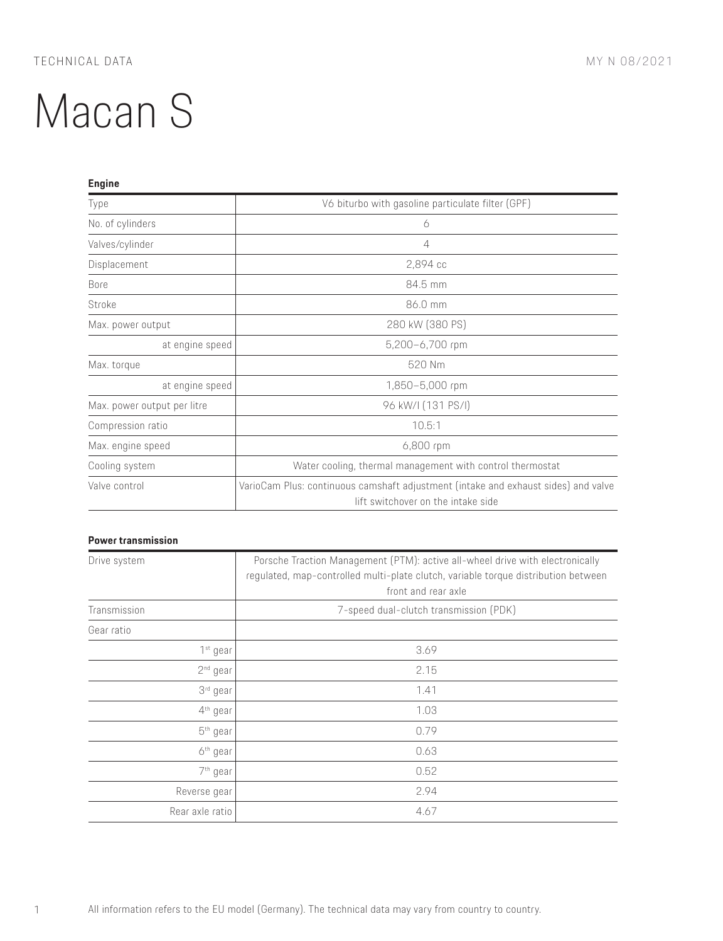| <b>Engine</b>               |                                                                                                                          |
|-----------------------------|--------------------------------------------------------------------------------------------------------------------------|
| Type                        | V6 biturbo with gasoline particulate filter (GPF)                                                                        |
| No. of cylinders            | 6                                                                                                                        |
| Valves/cylinder             | 4                                                                                                                        |
| Displacement                | 2,894 cc                                                                                                                 |
| <b>Bore</b>                 | 84.5 mm                                                                                                                  |
| Stroke                      | 86.0 mm                                                                                                                  |
| Max. power output           | 280 kW (380 PS)                                                                                                          |
| at engine speed             | 5,200-6,700 rpm                                                                                                          |
| Max. torque                 | 520 Nm                                                                                                                   |
| at engine speed             | 1,850-5,000 rpm                                                                                                          |
| Max. power output per litre | 96 kW/I (131 PS/I)                                                                                                       |
| Compression ratio           | 10.5:1                                                                                                                   |
| Max. engine speed           | 6,800 rpm                                                                                                                |
| Cooling system              | Water cooling, thermal management with control thermostat                                                                |
| Valve control               | VarioCam Plus: continuous camshaft adjustment (intake and exhaust sides) and valve<br>lift switchover on the intake side |

## **Power transmission**

| Drive system         | Porsche Traction Management (PTM): active all-wheel drive with electronically<br>regulated, map-controlled multi-plate clutch, variable torque distribution between |
|----------------------|---------------------------------------------------------------------------------------------------------------------------------------------------------------------|
|                      | front and rear axle                                                                                                                                                 |
| Transmission         | 7-speed dual-clutch transmission (PDK)                                                                                                                              |
| Gear ratio           |                                                                                                                                                                     |
| 1 <sup>st</sup> gear | 3.69                                                                                                                                                                |
| 2 <sup>nd</sup> gear | 2.15                                                                                                                                                                |
| 3 <sup>rd</sup> gear | 1.41                                                                                                                                                                |
| 4 <sup>th</sup> gear | 1.03                                                                                                                                                                |
| $5th$ gear           | 0.79                                                                                                                                                                |
| 6 <sup>th</sup> gear | 0.63                                                                                                                                                                |
| 7 <sup>th</sup> gear | 0.52                                                                                                                                                                |
| Reverse gear         | 2.94                                                                                                                                                                |
| Rear axle ratio      | 4.67                                                                                                                                                                |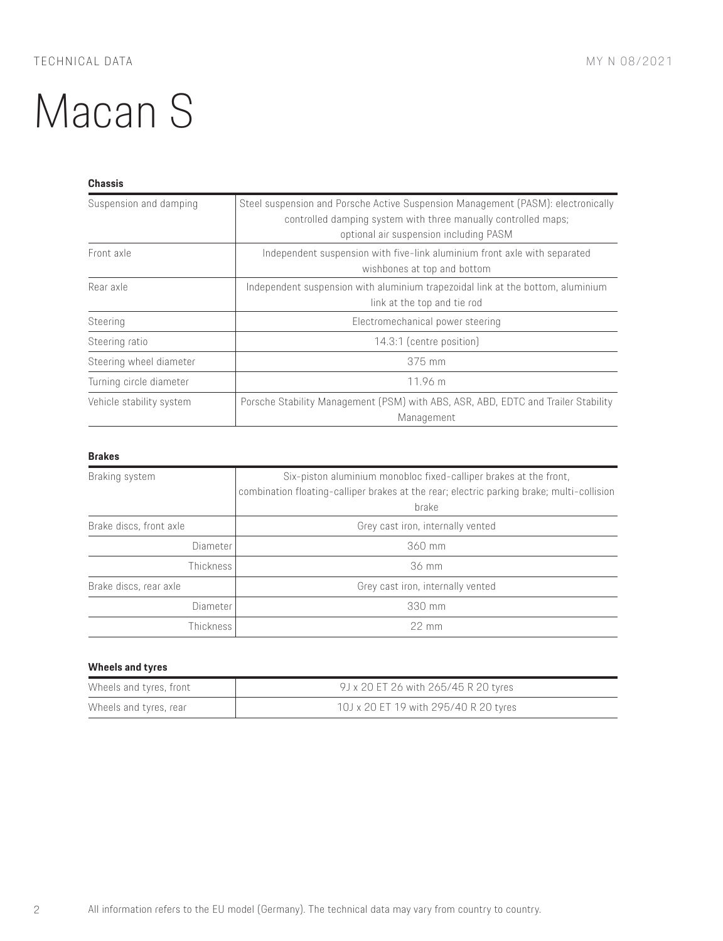### **Chassis**

| Suspension and damping   | Steel suspension and Porsche Active Suspension Management (PASM): electronically<br>controlled damping system with three manually controlled maps;<br>optional air suspension including PASM |
|--------------------------|----------------------------------------------------------------------------------------------------------------------------------------------------------------------------------------------|
| Front axle               | Independent suspension with five-link aluminium front axle with separated<br>wishbones at top and bottom                                                                                     |
| Rear axle                | Independent suspension with aluminium trapezoidal link at the bottom, aluminium<br>link at the top and tie rod                                                                               |
| Steering                 | Electromechanical power steering                                                                                                                                                             |
| Steering ratio           | 14.3:1 (centre position)                                                                                                                                                                     |
| Steering wheel diameter  | 375 mm                                                                                                                                                                                       |
| Turning circle diameter  | 11.96 m                                                                                                                                                                                      |
| Vehicle stability system | Porsche Stability Management (PSM) with ABS, ASR, ABD, EDTC and Trailer Stability<br>Management                                                                                              |

### **Brakes**

| Braking system          | Six-piston aluminium monobloc fixed-calliper brakes at the front,<br>combination floating-calliper brakes at the rear; electric parking brake; multi-collision<br>brake |
|-------------------------|-------------------------------------------------------------------------------------------------------------------------------------------------------------------------|
| Brake discs, front axle | Grey cast iron, internally vented                                                                                                                                       |
| Diameter                | 360 mm                                                                                                                                                                  |
| <b>Thickness</b>        | 36 mm                                                                                                                                                                   |
| Brake discs, rear axle  | Grey cast iron, internally vented                                                                                                                                       |
| Diameter                | 330 mm                                                                                                                                                                  |
| Thickness               | $22 \text{ mm}$                                                                                                                                                         |

### **Wheels and tyres**

| Wheels and tyres, front | 9J x 20 ET 26 with 265/45 R 20 tyres  |
|-------------------------|---------------------------------------|
| Wheels and tyres, rear  | 10J x 20 ET 19 with 295/40 R 20 tyres |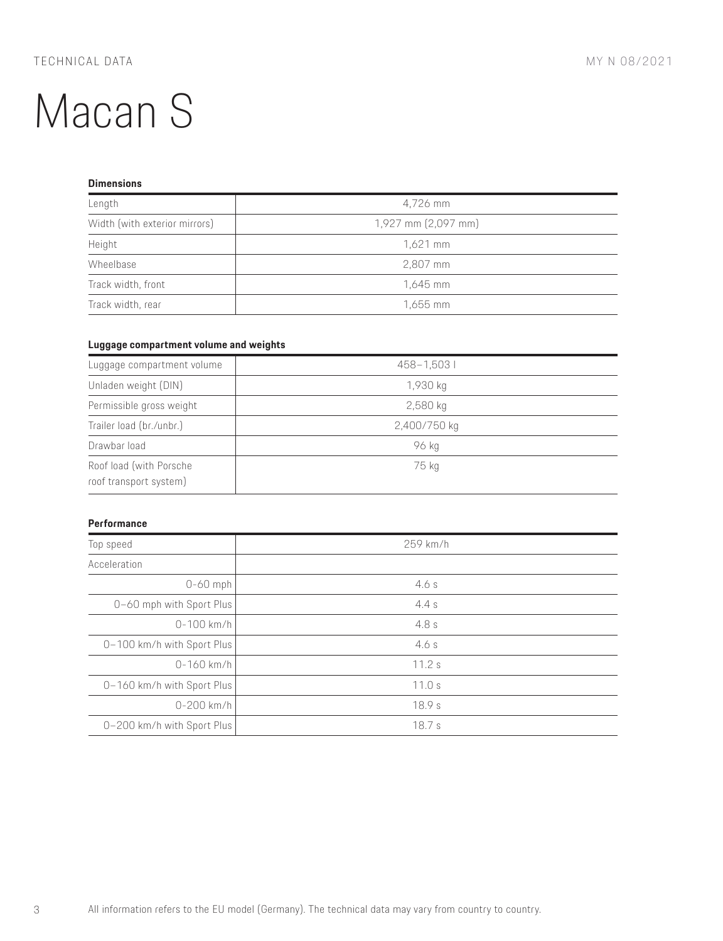### **Dimensions**

| Length                        | 4,726 mm            |
|-------------------------------|---------------------|
| Width (with exterior mirrors) | 1,927 mm (2,097 mm) |
| Height                        | $1,621$ mm          |
| Wheelbase                     | 2,807 mm            |
| Track width, front            | 1,645 mm            |
| Track width, rear             | 1,655 mm            |

### **Luggage compartment volume and weights**

| Luggage compartment volume                        | 458-1,5031   |
|---------------------------------------------------|--------------|
| Unladen weight (DIN)                              | 1,930 kg     |
| Permissible gross weight                          | $2,580$ kg   |
| Trailer load (br./unbr.)                          | 2,400/750 kg |
| Drawbar load                                      | 96 kg        |
| Roof load (with Porsche<br>roof transport system) | 75 kg        |

#### **Performance**

| Top speed                  | 259 km/h |
|----------------------------|----------|
| Acceleration               |          |
| $0-60$ mph                 | 4.6s     |
| 0-60 mph with Sport Plus   | 4.4s     |
| $0 - 100$ km/h             | 4.8s     |
| 0-100 km/h with Sport Plus | 4.6s     |
| $0 - 160$ km/h             | 11.2s    |
| 0-160 km/h with Sport Plus | 11.0 s   |
| $0 - 200$ km/h             | 18.9s    |
| 0-200 km/h with Sport Plus | 18.7s    |